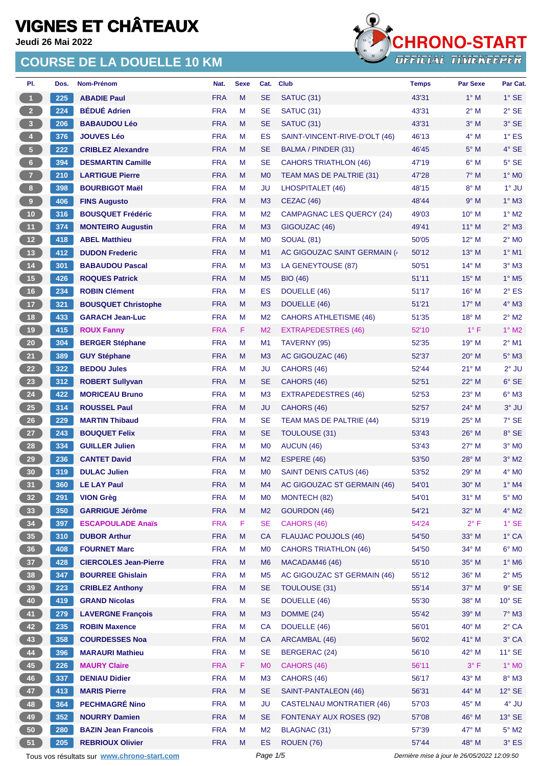**Jeudi 26 Mai 2022**

### **COURSE DE LA DOUELLE 10 KM**



| PI.                     | Dos. | Nom-Prénom                                  | Nat.       | <b>Sexe</b> | Cat.           | <b>Club</b>                                  | <b>Temps</b>                                | <b>Par Sexe</b> | Par Cat.                   |
|-------------------------|------|---------------------------------------------|------------|-------------|----------------|----------------------------------------------|---------------------------------------------|-----------------|----------------------------|
| $\mathbf{1}$            | 225  | <b>ABADIE Paul</b>                          | <b>FRA</b> | M           | <b>SE</b>      | SATUC <sub>(31)</sub>                        | 43'31                                       | $1^\circ$ M     | $1^\circ$ SE               |
| 2 <sub>1</sub>          | 224  | <b>BÉDUÉ Adrien</b>                         | <b>FRA</b> | M           | <b>SE</b>      | <b>SATUC (31)</b>                            | 43'31                                       | $2^{\circ}$ M   | $2°$ SE                    |
| $\overline{\mathbf{3}}$ | 206  | <b>BABAUDOU Léo</b>                         | <b>FRA</b> | M           | <b>SE</b>      | SATUC <sub>(31)</sub>                        | 43'31                                       | $3^\circ$ M     | 3° SE                      |
| 4 <sup>1</sup>          | 376  | <b>JOUVES Léo</b>                           | <b>FRA</b> | M           | ES             | SAINT-VINCENT-RIVE-D'OLT (46)                | 46'13                                       | $4^\circ$ M     | $1^\circ$ ES               |
| $\sqrt{5}$              | 222  | <b>CRIBLEZ Alexandre</b>                    | <b>FRA</b> | M           | <b>SE</b>      | BALMA / PINDER (31)                          | 46'45                                       | $5^\circ$ M     | 4° SE                      |
| $6\phantom{.}6$         | 394  | <b>DESMARTIN Camille</b>                    | <b>FRA</b> | м           | <b>SE</b>      | <b>CAHORS TRIATHLON (46)</b>                 | 47'19                                       | $6^\circ$ M     | $5^\circ$ SE               |
| $\overline{7}$          | 210  | <b>LARTIGUE Pierre</b>                      | <b>FRA</b> | M           | M <sub>0</sub> | TEAM MAS DE PALTRIE (31)                     | 47'28                                       | $7^\circ$ M     | $1^\circ$ MO               |
| $\bf{8}$                | 398  | <b>BOURBIGOT Maël</b>                       | <b>FRA</b> | M           | JU             | LHOSPITALET (46)                             | 48'15                                       | $8^\circ$ M     | $1^\circ$ JU               |
| $9-1$                   | 406  | <b>FINS Augusto</b>                         | <b>FRA</b> | M           | M <sub>3</sub> | CEZAC (46)                                   | 48'44                                       | 9° M            | $1^\circ$ M3               |
| 10                      | 316  | <b>BOUSQUET Frédéric</b>                    | <b>FRA</b> | M           | M <sub>2</sub> | <b>CAMPAGNAC LES QUERCY (24)</b>             | 49'03                                       | $10^{\circ}$ M  | $1^\circ$ M2               |
| 11                      | 374  | <b>MONTEIRO Augustin</b>                    | <b>FRA</b> | M           | M <sub>3</sub> | GIGOUZAC (46)                                | 49'41                                       | $11^{\circ}$ M  | $2^{\circ}$ M3             |
| 12 <sup>7</sup>         | 418  | <b>ABEL Matthieu</b>                        | <b>FRA</b> | M           | M <sub>0</sub> | <b>SOUAL (81)</b>                            | 50'05                                       | $12^{\circ}$ M  | $2^{\circ}$ MO             |
| 13                      | 412  | <b>DUDON Frederic</b>                       | <b>FRA</b> | M           | M1             | AC GIGOUZAC SAINT GERMAIN (                  | 50'12                                       | $13^{\circ}$ M  | $1^\circ$ M1               |
| $14$                    | 301  | <b>BABAUDOU Pascal</b>                      | <b>FRA</b> | M           | M <sub>3</sub> | LA GENEYTOUSE (87)                           | 50'51                                       | $14^{\circ}$ M  | $3°$ M $3$                 |
| 15                      | 426  | <b>ROQUES Patrick</b>                       | <b>FRA</b> | M           | M <sub>5</sub> | <b>BIO</b> (46)                              | 51'11                                       | $15^{\circ}$ M  | $1^\circ$ M <sub>5</sub>   |
| 16                      | 234  | <b>ROBIN Clément</b>                        | <b>FRA</b> | M           | ES             | DOUELLE (46)                                 | 51'17                                       | $16^{\circ}$ M  | $2^{\circ}$ ES             |
| 17 <sup>2</sup>         | 321  | <b>BOUSQUET Christophe</b>                  | <b>FRA</b> | M           | M <sub>3</sub> | DOUELLE (46)                                 | 51'21                                       | $17^\circ$ M    | 4° M3                      |
| 18                      | 433  | <b>GARACH Jean-Luc</b>                      | <b>FRA</b> | M           | M <sub>2</sub> | <b>CAHORS ATHLETISME (46)</b>                | 51'35                                       | $18^{\circ}$ M  | $2^{\circ}$ M2             |
| $19$                    | 415  | <b>ROUX Fanny</b>                           | <b>FRA</b> | F           | M <sub>2</sub> | <b>EXTRAPEDESTRES (46)</b>                   | 52'10                                       | $1^{\circ}$ F   | $1^\circ$ M2               |
| 20 <sub>2</sub>         | 304  | <b>BERGER Stéphane</b>                      | <b>FRA</b> | M           | M <sub>1</sub> | TAVERNY (95)                                 | 52'35                                       | 19° M           | $2^{\circ}$ M1             |
| 21                      | 389  | <b>GUY Stéphane</b>                         | <b>FRA</b> | M           | M <sub>3</sub> | AC GIGOUZAC (46)                             | 52'37                                       | $20^\circ$ M    | $5^\circ$ M3               |
| 22                      | 322  | <b>BEDOU Jules</b>                          | <b>FRA</b> | M           | JU             | CAHORS (46)                                  | 52'44                                       | $21^{\circ}$ M  | $2^{\circ}$ JU             |
| 23                      | 312  | <b>ROBERT Sullyvan</b>                      | <b>FRA</b> | M           | <b>SE</b>      | CAHORS (46)                                  | 52'51                                       | $22^{\circ}$ M  | $6°$ SE                    |
| 24                      | 422  | <b>MORICEAU Bruno</b>                       | <b>FRA</b> | M           | M <sub>3</sub> | <b>EXTRAPEDESTRES (46)</b>                   | 52'53                                       | $23^{\circ}$ M  | $6^\circ$ M3               |
| <b>25</b>               | 314  | <b>ROUSSEL Paul</b>                         | <b>FRA</b> | M           | <b>JU</b>      | CAHORS (46)                                  | 52'57                                       | 24° M           | $3°$ JU                    |
| 26                      | 229  | <b>MARTIN Thibaud</b>                       | <b>FRA</b> | M           | <b>SE</b>      | TEAM MAS DE PALTRIE (44)                     | 53'19                                       | $25^{\circ}$ M  | 7° SE                      |
| 27                      | 243  | <b>BOUQUET Felix</b>                        | <b>FRA</b> | M           | <b>SE</b>      | <b>TOULOUSE (31)</b>                         | 53'43                                       | $26^{\circ}$ M  | 8° SE                      |
| 28                      | 334  | <b>GUILLER Julien</b>                       | <b>FRA</b> | M           | M <sub>0</sub> | AUCUN (46)                                   | 53'43                                       | $27^\circ$ M    | $3°$ MO                    |
| 29                      | 236  | <b>CANTET David</b>                         | <b>FRA</b> | M           | M <sub>2</sub> |                                              | 53'50                                       | 28° M           | $3^\circ$ M2               |
| 30                      | 319  |                                             | <b>FRA</b> | M           | M <sub>0</sub> | ESPERE (46)<br><b>SAINT DENIS CATUS (46)</b> | 53'52                                       | $29^{\circ}$ M  | $4^{\circ}$ MO             |
| 31 <sup>2</sup>         | 360  | <b>DULAC Julien</b>                         | <b>FRA</b> |             |                |                                              | 54'01                                       | $30^\circ$ M    | $1^\circ$ M4               |
|                         |      | <b>LE LAY Paul</b>                          |            | M           | M4             | AC GIGOUZAC ST GERMAIN (46)                  |                                             |                 |                            |
| 32 <sub>2</sub>         | 291  | <b>VION Grèg</b>                            | <b>FRA</b> | M           | M <sub>0</sub> | MONTECH (82)                                 | 54'01                                       | $31°$ M         | $5^\circ$ MO               |
| 33                      | 350  | <b>GARRIGUE Jérôme</b>                      | <b>FRA</b> | M           | M <sub>2</sub> | GOURDON (46)                                 | 54'21                                       | 32° M           | $4^\circ$ M2               |
| 34                      | 397  | <b>ESCAPOULADE Anaïs</b>                    | <b>FRA</b> | F           | <b>SE</b>      | CAHORS (46)                                  | 54'24                                       | $2^{\circ}$ F   | $1^\circ$ SE               |
| 35                      | 310  | <b>DUBOR Arthur</b>                         | <b>FRA</b> | M           | <b>CA</b>      | <b>FLAUJAC POUJOLS (46)</b>                  | 54'50                                       | 33° M           | $1^\circ$ CA               |
| 36                      | 408  | <b>FOURNET Marc</b>                         | <b>FRA</b> | М           | M <sub>0</sub> | <b>CAHORS TRIATHLON (46)</b>                 | 54'50                                       | 34° M           | $6^{\circ}$ MO             |
| 37 <sup>°</sup>         | 428  | <b>CIERCOLES Jean-Pierre</b>                | <b>FRA</b> | M           | M <sub>6</sub> | MACADAM46 (46)                               | 55'10                                       | 35° M           | 1° M6                      |
| 38                      | 347  | <b>BOURREE Ghislain</b>                     | <b>FRA</b> | M           | M <sub>5</sub> | AC GIGOUZAC ST GERMAIN (46)                  | 55'12                                       | $36^\circ$ M    | $2^{\circ}$ M <sub>5</sub> |
| 39                      | 223  | <b>CRIBLEZ Anthony</b>                      | <b>FRA</b> | M           | <b>SE</b>      | TOULOUSE (31)                                | 55'14                                       | 37° M           | $9°$ SE                    |
| 40                      | 419  | <b>GRAND Nicolas</b>                        | <b>FRA</b> | M           | <b>SE</b>      | DOUELLE (46)                                 | 55'30                                       | 38° M           | 10° SE                     |
| 41                      | 279  | <b>LAVERGNE François</b>                    | <b>FRA</b> | M           | M <sub>3</sub> | DOMME (24)                                   | 55'42                                       | $39^\circ$ M    | $7^\circ$ M3               |
| 42                      | 235  | <b>ROBIN Maxence</b>                        | <b>FRA</b> | M           | <b>CA</b>      | DOUELLE (46)                                 | 56'01                                       | 40° M           | $2^{\circ}$ CA             |
| 43                      | 358  | <b>COURDESSES Noa</b>                       | <b>FRA</b> | M           | <b>CA</b>      | <b>ARCAMBAL (46)</b>                         | 56'02                                       | $41^{\circ}$ M  | 3° CA                      |
| 44                      | 396  | <b>MARAURI Mathieu</b>                      | <b>FRA</b> | M           | <b>SE</b>      | BERGERAC (24)                                | 56'10                                       | 42° M           | $11^\circ$ SE              |
| 45                      | 226  | <b>MAURY Claire</b>                         | <b>FRA</b> | F           | M <sub>0</sub> | CAHORS (46)                                  | 56'11                                       | 3° F            | $1^\circ$ MO               |
| 46                      | 337  | <b>DENIAU Didier</b>                        | <b>FRA</b> | M           | M3             | CAHORS (46)                                  | 56'17                                       | 43° M           | $8^\circ$ M3               |
| 47                      | 413  | <b>MARIS Pierre</b>                         | <b>FRA</b> | M           | <b>SE</b>      | SAINT-PANTALEON (46)                         | 56'31                                       | 44° M           | $12^{\circ}$ SE            |
| 48                      | 364  | <b>PECHMAGRÉ Nino</b>                       | <b>FRA</b> | M           | <b>JU</b>      | <b>CASTELNAU MONTRATIER (46)</b>             | 57'03                                       | 45° M           | 4° JU                      |
| 49                      | 352  | <b>NOURRY Damien</b>                        | <b>FRA</b> | M           | <b>SE</b>      | <b>FONTENAY AUX ROSES (92)</b>               | 57'08                                       | 46° M           | $13^\circ$ SE              |
| 50                      | 280  | <b>BAZIN Jean Francois</b>                  | <b>FRA</b> | M           | M <sub>2</sub> | <b>BLAGNAC (31)</b>                          | 57'39                                       | 47° M           | $5^\circ$ M2               |
| 51                      | 205  | <b>REBRIOUX Olivier</b>                     | <b>FRA</b> | M           | ES             | ROUEN (76)                                   | 57'44                                       | 48° M           | $3^\circ$ ES               |
|                         |      | Tous vos résultats sur www.chrono-start.com |            |             | Page 1/5       |                                              | Dernière mise à jour le 26/05/2022 12:09:50 |                 |                            |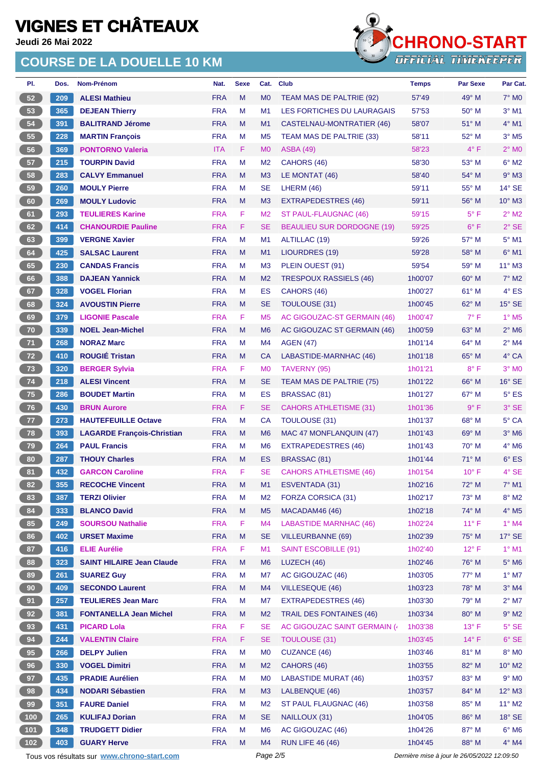**Jeudi 26 Mai 2022**

### **COURSE DE LA DOUELLE 10 KM**



| PI.           | Dos. | Nom-Prénom                        | Nat.       | <b>Sexe</b> | Cat.           | Club                              | <b>Temps</b> | <b>Par Sexe</b> | Par Cat.                 |
|---------------|------|-----------------------------------|------------|-------------|----------------|-----------------------------------|--------------|-----------------|--------------------------|
| 52            | 209  | <b>ALESI Mathieu</b>              | <b>FRA</b> | M           | M <sub>0</sub> | TEAM MAS DE PALTRIE (92)          | 57'49        | $49^\circ$ M    | $7^\circ$ MO             |
| 53            | 365  | <b>DEJEAN Thierry</b>             | <b>FRA</b> | M           | M <sub>1</sub> | LES FORTICHES DU LAURAGAIS        | 57'53        | 50° M           | $3°$ M1                  |
| 54            | 391  | <b>BALITRAND Jérome</b>           | <b>FRA</b> | M           | M <sub>1</sub> | CASTELNAU-MONTRATIER (46)         | 58'07        | $51^\circ$ M    | 4° M1                    |
| 55            | 228  | <b>MARTIN François</b>            | <b>FRA</b> | M           | M <sub>5</sub> | TEAM MAS DE PALTRIE (33)          | 58'11        | 52° M           | $3°$ M <sub>5</sub>      |
| 56            | 369  | <b>PONTORNO Valeria</b>           | <b>ITA</b> | F           | M <sub>0</sub> | <b>ASBA (49)</b>                  | 58'23        | $4^{\circ}$ F   | $2^{\circ}$ MO           |
| 57            | 215  | <b>TOURPIN David</b>              | <b>FRA</b> | M           | M <sub>2</sub> | CAHORS (46)                       | 58'30        | $53^\circ$ M    | $6^{\circ}$ M2           |
| 58            | 283  | <b>CALVY Emmanuel</b>             | <b>FRA</b> | M           | M <sub>3</sub> | LE MONTAT (46)                    | 58'40        | 54° M           | $9°$ M3                  |
| 59            | 260  | <b>MOULY Pierre</b>               | <b>FRA</b> | M           | <b>SE</b>      | LHERM (46)                        | 59'11        | $55^{\circ}$ M  | $14^{\circ}$ SE          |
| 60            | 269  | <b>MOULY Ludovic</b>              | <b>FRA</b> | M           | M3             | <b>EXTRAPEDESTRES (46)</b>        | 59'11        | 56° M           | $10^{\circ}$ M3          |
| 61            | 293  | <b>TEULIERES Karine</b>           | <b>FRA</b> | F           | M <sub>2</sub> | ST PAUL-FLAUGNAC (46)             | 59'15        | $5^{\circ}$ F   | $2^{\circ}$ M2           |
| 62            | 414  | <b>CHANOURDIE Pauline</b>         | <b>FRA</b> | F           | <b>SE</b>      | <b>BEAULIEU SUR DORDOGNE (19)</b> | 59'25        | $6^{\circ}$ F   | $2°$ SE                  |
| 63            | 399  | <b>VERGNE Xavier</b>              | <b>FRA</b> | M           | M <sub>1</sub> | ALTILLAC (19)                     | 59'26        | $57^\circ$ M    | $5^\circ$ M1             |
| 64            | 425  | <b>SALSAC Laurent</b>             | <b>FRA</b> | M           | M <sub>1</sub> | <b>LIOURDRES (19)</b>             | 59'28        | 58° M           | $6^\circ$ M1             |
| 65            | 230  | <b>CANDAS Francis</b>             | <b>FRA</b> | M           | M <sub>3</sub> | PLEIN OUEST (91)                  | 59'54        | $59^{\circ}$ M  | 11° M3                   |
| 66            | 388  | <b>DAJEAN Yannick</b>             | <b>FRA</b> | M           | M <sub>2</sub> | <b>TRESPOUX RASSIELS (46)</b>     | 1h00'07      | $60^\circ$ M    | $7^\circ$ M2             |
| 67            | 328  | <b>VOGEL Florian</b>              | <b>FRA</b> | M           | <b>ES</b>      | CAHORS (46)                       | 1h00'27      | 61° M           | $4^\circ$ ES             |
| 68            | 324  | <b>AVOUSTIN Pierre</b>            | <b>FRA</b> | M           | <b>SE</b>      | TOULOUSE (31)                     | 1h00'45      | 62° M           | $15^\circ$ SE            |
| 69            | 379  | <b>LIGONIE Pascale</b>            | <b>FRA</b> | F           | M <sub>5</sub> | AC GIGOUZAC-ST GERMAIN (46)       | 1h00'47      | $7^{\circ}$ F   | $1^\circ$ M <sub>5</sub> |
| 70            | 339  | <b>NOEL Jean-Michel</b>           | <b>FRA</b> | M           | M <sub>6</sub> | AC GIGOUZAC ST GERMAIN (46)       | 1h00'59      | $63^\circ$ M    | $2^{\circ}$ M6           |
| 71            | 268  | <b>NORAZ Marc</b>                 | <b>FRA</b> | M           | M4             | <b>AGEN (47)</b>                  | 1h01'14      | $64^{\circ}$ M  | $2^{\circ}$ M4           |
| 72            | 410  | <b>ROUGIÉ Tristan</b>             | <b>FRA</b> | M           | CA             | LABASTIDE-MARNHAC (46)            | 1h01'18      | $65^{\circ}$ M  | 4° CA                    |
| 73            | 320  | <b>BERGER Sylvia</b>              | <b>FRA</b> | F           | M <sub>0</sub> | TAVERNY (95)                      | 1h01'21      | $8^{\circ}$ F   | $3°$ MO                  |
| 74            | 218  | <b>ALESI Vincent</b>              | <b>FRA</b> | M           | <b>SE</b>      | TEAM MAS DE PALTRIE (75)          | 1h01'22      | $66^{\circ}$ M  | $16^\circ$ SE            |
| 75            | 286  | <b>BOUDET Martin</b>              | <b>FRA</b> | M           | ES             | <b>BRASSAC (81)</b>               | 1h01'27      | $67^\circ$ M    | $5^\circ$ ES             |
| 76            | 430  | <b>BRUN Aurore</b>                | <b>FRA</b> | F           | <b>SE</b>      | <b>CAHORS ATHLETISME (31)</b>     | 1h01'36      | $9^{\circ}$ F   | 3° SE                    |
| 77            | 273  | <b>HAUTEFEUILLE Octave</b>        | <b>FRA</b> | M           | <b>CA</b>      | TOULOUSE (31)                     | 1h01'37      | $68^{\circ}$ M  | 5° CA                    |
| 78            | 393  | <b>LAGARDE François-Christian</b> | <b>FRA</b> | M           | M <sub>6</sub> | MAC 47 MONFLANQUIN (47)           | 1h01'43      | $69^\circ$ M    | $3^\circ$ M6             |
| 79            | 264  | <b>PAUL Francis</b>               | <b>FRA</b> | M           | M <sub>6</sub> | <b>EXTRAPEDESTRES (46)</b>        | 1h01'43      | $70^\circ$ M    | $4^\circ$ M6             |
| 80            | 287  | <b>THOUY Charles</b>              | <b>FRA</b> | M           | ES             | BRASSAC (81)                      | 1h01'44      | $71^\circ$ M    | $6^{\circ}$ ES           |
| 81            | 432  | <b>GARCON Caroline</b>            | <b>FRA</b> | F           | <b>SE</b>      | <b>CAHORS ATHLETISME (46)</b>     | 1h01'54      | $10^{\circ}$ F  | 4° SE                    |
| 82)           | 355  | <b>RECOCHE Vincent</b>            | <b>FRA</b> | M           | M1             | ESVENTADA (31)                    | 1h02'16      | 72° M           | $7^\circ$ M1             |
| 83            | 387  | <b>TERZI Olivier</b>              | <b>FRA</b> | M           | M <sub>2</sub> | FORZA CORSICA (31)                | 1h02'17      | 73° M           | $8^\circ$ M2             |
| 84            | 333  | <b>BLANCO David</b>               | <b>FRA</b> | M           | M <sub>5</sub> | MACADAM46 (46)                    | 1h02'18      | 74° M           | $4^\circ$ M5             |
| 85            | 249  | <b>SOURSOU Nathalie</b>           | <b>FRA</b> | F           | M4             | <b>LABASTIDE MARNHAC (46)</b>     | 1h02'24      | $11^{\circ}$ F  | $1^\circ$ M4             |
| 86            | 402  | <b>URSET Maxime</b>               | <b>FRA</b> | M           | <b>SE</b>      | <b>VILLEURBANNE (69)</b>          | 1h02'39      | 75° M           | $17^\circ$ SE            |
| 87            | 416  | <b>ELIE Aurélie</b>               | <b>FRA</b> | F           | M1             | <b>SAINT ESCOBILLE (91)</b>       | 1h02'40      | $12^{\circ}$ F  | $1^\circ$ M1             |
| 88            | 323  | <b>SAINT HILAIRE Jean Claude</b>  | <b>FRA</b> | M           | M <sub>6</sub> | LUZECH (46)                       | 1h02'46      | 76° M           | $5^\circ$ M6             |
| 89            | 261  | <b>SUAREZ Guy</b>                 | <b>FRA</b> | M           | M7             | AC GIGOUZAC (46)                  | 1h03'05      | 77° M           | $1^\circ$ M7             |
| 90            | 409  | <b>SECONDO Laurent</b>            | <b>FRA</b> | M           | M4             | <b>VILLESEQUE (46)</b>            | 1h03'23      | 78° M           | $3°$ M4                  |
| 91            | 257  | <b>TEULIERES Jean Marc</b>        | <b>FRA</b> | M           | M7             | <b>EXTRAPEDESTRES (46)</b>        | 1h03'30      | 79° M           | $2^{\circ}$ M7           |
| 92            | 381  | <b>FONTANELLA Jean Michel</b>     | <b>FRA</b> | M           | M <sub>2</sub> | <b>TRAIL DES FONTAINES (46)</b>   | 1h03'34      | 80° M           | $9°$ M2                  |
| 93            | 431  | <b>PICARD Lola</b>                | <b>FRA</b> | F           | <b>SE</b>      | AC GIGOUZAC SAINT GERMAIN (4      | 1h03'38      | $13^{\circ}$ F  | $5^\circ$ SE             |
| 94            | 244  | <b>VALENTIN Claire</b>            | <b>FRA</b> | F           | <b>SE</b>      | <b>TOULOUSE (31)</b>              | 1h03'45      | $14^{\circ}$ F  | $6°$ SE                  |
| 95            | 266  | <b>DELPY Julien</b>               | <b>FRA</b> | M           | M <sub>0</sub> | CUZANCE (46)                      | 1h03'46      | 81° M           | 8° MO                    |
| 96            | 330  | <b>VOGEL Dimitri</b>              | <b>FRA</b> | M           | M <sub>2</sub> | CAHORS (46)                       | 1h03'55      | 82° M           | $10^{\circ}$ M2          |
| 97            | 435  | <b>PRADIE Aurélien</b>            | <b>FRA</b> | M           | M <sub>0</sub> | <b>LABASTIDE MURAT (46)</b>       | 1h03'57      | 83° M           | $9°$ MO                  |
| 98            | 434  | <b>NODARI Sébastien</b>           | <b>FRA</b> | M           | M <sub>3</sub> | LALBENQUE (46)                    | 1h03'57      | 84° M           | $12^{\circ}$ M3          |
| 99            | 351  | <b>FAURE Daniel</b>               | <b>FRA</b> | M           | M <sub>2</sub> | ST PAUL FLAUGNAC (46)             | 1h03'58      | 85° M           | $11^{\circ}$ M2          |
| 100           | 265  | <b>KULIFAJ Dorian</b>             | <b>FRA</b> | M           | <b>SE</b>      | NAILLOUX (31)                     | 1h04'05      | 86° M           | $18^\circ$ SE            |
| $101$         | 348  | <b>TRUDGETT Didier</b>            | <b>FRA</b> | M           | M <sub>6</sub> | AC GIGOUZAC (46)                  | 1h04'26      | 87° M           | $6^\circ$ M6             |
| $\boxed{102}$ | 403  | <b>GUARY Herve</b>                | <b>FRA</b> | M           | M4             | <b>RUN LIFE 46 (46)</b>           | 1h04'45      | 88° M           | $4^\circ$ M4             |

Tous vos résultats sur **[www.chrono-start.com](https://www.chrono-start.com/)** Page 2/5 Page 2/5 Dernière mise à jour le 26/05/2022 12:09:50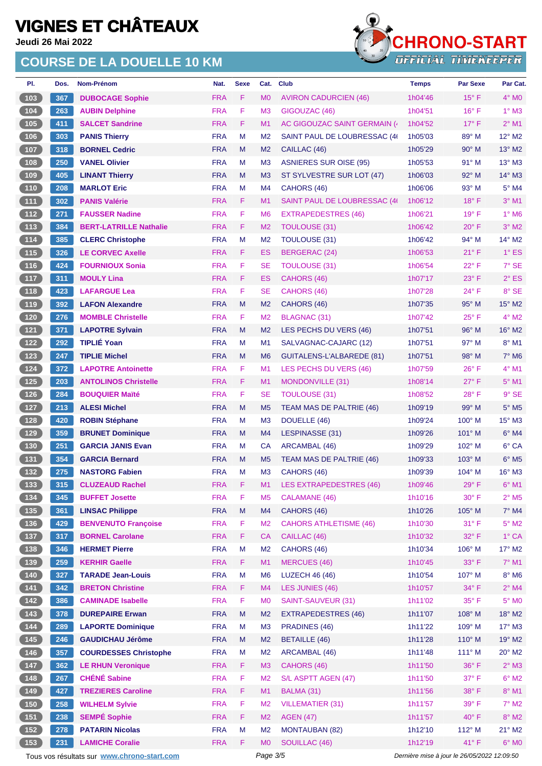**Jeudi 26 Mai 2022**

### **COURSE DE LA DOUELLE 10 KM**



| PI.                                                                         | Dos. | Nom-Prénom                                  | Nat.       | <b>Sexe</b> | Cat.           | <b>Club</b>                    | <b>Temps</b>                                | Par Sexe       | Par Cat.                   |
|-----------------------------------------------------------------------------|------|---------------------------------------------|------------|-------------|----------------|--------------------------------|---------------------------------------------|----------------|----------------------------|
| 103                                                                         | 367  | <b>DUBOCAGE Sophie</b>                      | <b>FRA</b> | F.          | <b>MO</b>      | <b>AVIRON CADURCIEN (46)</b>   | 1h04'46                                     | $15^{\circ}$ F | $4^\circ$ MO               |
| $\boxed{104}$                                                               | 263  | <b>AUBIN Delphine</b>                       | <b>FRA</b> | F           | M <sub>3</sub> | GIGOUZAC (46)                  | 1h04'51                                     | $16^{\circ}$ F | $1^\circ$ M3               |
| 105                                                                         | 411  | <b>SALCET Sandrine</b>                      | <b>FRA</b> | F.          | M <sub>1</sub> | AC GIGOUZAC SAINT GERMAIN (    | 1h04'52                                     | $17^{\circ}$ F | $2^{\circ}$ M1             |
| 106                                                                         | 303  | <b>PANIS Thierry</b>                        | <b>FRA</b> | M           | M <sub>2</sub> | SAINT PAUL DE LOUBRESSAC (4)   | 1h05'03                                     | $89^\circ$ M   | 12° M2                     |
| 107                                                                         | 318  | <b>BORNEL Cedric</b>                        | <b>FRA</b> | M           | M <sub>2</sub> | CAILLAC (46)                   | 1h05'29                                     | $90^\circ$ M   | 13° M2                     |
| 108                                                                         | 250  | <b>VANEL Olivier</b>                        | <b>FRA</b> | М           | M <sub>3</sub> | <b>ASNIERES SUR OISE (95)</b>  | 1h05'53                                     | 91° M          | $13^{\circ}$ M3            |
| 109                                                                         | 405  | <b>LINANT Thierry</b>                       | <b>FRA</b> | M           | M <sub>3</sub> | ST SYLVESTRE SUR LOT (47)      | 1h06'03                                     | $92^{\circ}$ M | 14° M3                     |
| $110$                                                                       | 208  | <b>MARLOT Eric</b>                          | <b>FRA</b> | M           | M4             | CAHORS (46)                    | 1h06'06                                     | $93^\circ$ M   | $5^\circ$ M4               |
| $\boxed{111}$                                                               | 302  | <b>PANIS Valérie</b>                        | <b>FRA</b> | F.          | M1             | SAINT PAUL DE LOUBRESSAC (4)   | 1h06'12                                     | $18^{\circ}$ F | $3°$ M1                    |
| $\boxed{112}$                                                               | 271  | <b>FAUSSER Nadine</b>                       | <b>FRA</b> | F           | M <sub>6</sub> | <b>EXTRAPEDESTRES (46)</b>     | 1h06'21                                     | $19°$ F        | 1° M6                      |
| $113$                                                                       | 384  | <b>BERT-LATRILLE Nathalie</b>               | <b>FRA</b> | F.          | M <sub>2</sub> | <b>TOULOUSE (31)</b>           | 1h06'42                                     | $20^{\circ}$ F | $3^\circ$ M2               |
| $\boxed{114}$                                                               | 385  | <b>CLERC Christophe</b>                     | <b>FRA</b> | M           | M <sub>2</sub> | <b>TOULOUSE (31)</b>           | 1h06'42                                     | 94° M          | 14° M2                     |
| (115)                                                                       | 326  | <b>LE CORVEC Axelle</b>                     | <b>FRA</b> | F.          | ES             | <b>BERGERAC (24)</b>           | 1h06'53                                     | $21^{\circ}$ F | $1^\circ$ ES               |
| (116)                                                                       | 424  | <b>FOURNIOUX Sonia</b>                      | <b>FRA</b> | F.          | SE             | <b>TOULOUSE (31)</b>           | 1h06'54                                     | $22^{\circ}$ F | $7°$ SE                    |
| $117$                                                                       | 311  | <b>MOULY Lina</b>                           | <b>FRA</b> | F.          | ES             | CAHORS (46)                    | 1h07'17                                     | $23^{\circ}$ F | $2^{\circ}$ ES             |
| $118$                                                                       | 423  | <b>LAFARGUE Lea</b>                         | <b>FRA</b> | F           | <b>SE</b>      | CAHORS (46)                    | 1h07'28                                     | $24^{\circ}$ F | 8° SE                      |
| (119)                                                                       | 392  | <b>LAFON Alexandre</b>                      | <b>FRA</b> | M           | M <sub>2</sub> | CAHORS (46)                    | 1h07'35                                     | $95^\circ$ M   | $15^{\circ}$ M2            |
| $120$                                                                       | 276  | <b>MOMBLE Christelle</b>                    | <b>FRA</b> | F.          | M <sub>2</sub> | <b>BLAGNAC (31)</b>            | 1h07'42                                     | $25^{\circ}$ F | $4^{\circ}$ M2             |
| $121$                                                                       | 371  | <b>LAPOTRE Sylvain</b>                      | <b>FRA</b> | M           | M <sub>2</sub> | LES PECHS DU VERS (46)         | 1h07'51                                     | $96^\circ$ M   | $16^\circ$ M2              |
| $122$                                                                       | 292  | <b>TIPLIÉ Yoan</b>                          | <b>FRA</b> | M           | M1             | SALVAGNAC-CAJARC (12)          | 1h07'51                                     | 97° M          | $8^\circ$ M1               |
| $123$                                                                       | 247  | <b>TIPLIE Michel</b>                        | <b>FRA</b> | M           | M <sub>6</sub> | GUITALENS-L'ALBAREDE (81)      | 1h07'51                                     | 98° M          | $7^\circ$ M6               |
| 124                                                                         | 372  | <b>LAPOTRE Antoinette</b>                   | <b>FRA</b> | F           | M <sub>1</sub> | LES PECHS DU VERS (46)         | 1h07'59                                     | $26^{\circ}$ F | 4° M1                      |
| $125$                                                                       | 203  | <b>ANTOLINOS Christelle</b>                 | <b>FRA</b> | F           | M1             | <b>MONDONVILLE (31)</b>        | 1h08'14                                     | $27^\circ$ F   | $5^\circ$ M1               |
| $126$                                                                       | 284  | <b>BOUQUIER Maïté</b>                       | <b>FRA</b> | F           | SE             | <b>TOULOUSE (31)</b>           | 1h08'52                                     | $28^{\circ}$ F | $9°$ SE                    |
| 127                                                                         | 213  | <b>ALESI Michel</b>                         | <b>FRA</b> | M           | M <sub>5</sub> | TEAM MAS DE PALTRIE (46)       | 1h09'19                                     | 99° M          | $5^\circ$ M5               |
| 128                                                                         | 420  | <b>ROBIN Stéphane</b>                       | <b>FRA</b> | M           | M <sub>3</sub> | DOUELLE (46)                   | 1h09'24                                     | $100^\circ$ M  | 15° M3                     |
| 129                                                                         | 359  | <b>BRUNET Dominique</b>                     | <b>FRA</b> | M           | M4             | LESPINASSE (31)                | 1h09'26                                     | 101° M         | $6^\circ$ M4               |
| $\begin{array}{c} \hline 130 \end{array}$                                   | 251  | <b>GARCIA JANIS Evan</b>                    | <b>FRA</b> | М           | CA             | ARCAMBAL (46)                  | 1h09'29                                     | $102^\circ$ M  | 6° CA                      |
| $\begin{array}{c} \boxed{131} \end{array}$                                  | 354  | <b>GARCIA Bernard</b>                       | <b>FRA</b> | M           | M <sub>5</sub> | TEAM MAS DE PALTRIE (46)       | 1h09'33                                     | $103^\circ$ M  | $6^\circ$ M5               |
| 132                                                                         | 275  | <b>NASTORG Fabien</b>                       | <b>FRA</b> | M           | M <sub>3</sub> | CAHORS (46)                    | 1h09'39                                     | $104^\circ$ M  | $16^\circ$ M3              |
| (133)                                                                       | 315  | <b>CLUZEAUD Rachel</b>                      | <b>FRA</b> | F           | M <sub>1</sub> | <b>LES EXTRAPEDESTRES (46)</b> | 1h09'46                                     | 29°F           | $6^\circ$ M1               |
|                                                                             | 345  | <b>BUFFET Josette</b>                       | <b>FRA</b> | F           | M <sub>5</sub> | CALAMANE (46)                  | 1h10'16                                     | $30^\circ$ F   | $2^{\circ}$ M <sub>5</sub> |
| 135                                                                         | 361  | <b>LINSAC Philippe</b>                      | <b>FRA</b> | M           | M4             | CAHORS (46)                    | 1h10'26                                     | 105° M         | 7° M4                      |
| $136$                                                                       | 429  | <b>BENVENUTO Françoise</b>                  | <b>FRA</b> | F           | M <sub>2</sub> | <b>CAHORS ATHLETISME (46)</b>  | 1h10'30                                     | 31° F          | $5^\circ$ M2               |
| (137)                                                                       | 317  | <b>BORNEL Carolane</b>                      | <b>FRA</b> | F           | <b>CA</b>      | CAILLAC (46)                   | 1h10'32                                     | 32° F          | 1° CA                      |
| $\begin{array}{c} \n \textbf{138}\n \end{array}$                            | 346  | <b>HERMET Pierre</b>                        | <b>FRA</b> | M           | M <sub>2</sub> | CAHORS (46)                    | 1h10'34                                     | 106° M         | 17° M2                     |
| $139$                                                                       | 259  | <b>KERHIR Gaelle</b>                        | <b>FRA</b> | F.          | M1             | <b>MERCUES (46)</b>            | 1h10'45                                     | 33° F          | 7° M1                      |
| $140$                                                                       | 327  | <b>TARADE Jean-Louis</b>                    | <b>FRA</b> | M           | M <sub>6</sub> | <b>LUZECH 46 (46)</b>          | 1h10'54                                     | 107° M         | $8^\circ$ M6               |
| $\begin{array}{c} \n \begin{array}{c} \n 141 \n \end{array} \n \end{array}$ | 342  | <b>BRETON Christine</b>                     | <b>FRA</b> | F           | M4             | LES JUNIES (46)                | 1h10'57                                     | 34° F          | $2^{\circ}$ M4             |
| $142$                                                                       | 386  | <b>CAMINADE Isabelle</b>                    | <b>FRA</b> | F           | M <sub>0</sub> | SAINT-SAUVEUR (31)             | 1h11'02                                     | 35°F           | $5^\circ$ MO               |
| 143                                                                         | 378  | <b>DUREPAIRE Erwan</b>                      | <b>FRA</b> | M           | M <sub>2</sub> | <b>EXTRAPEDESTRES (46)</b>     | 1h11'07                                     | 108° M         | 18° M2                     |
| $\boxed{144}$                                                               | 289  | <b>LAPORTE Dominique</b>                    | <b>FRA</b> | M           | M <sub>3</sub> | PRADINES (46)                  | 1h11'22                                     | 109° M         | $17^\circ$ M3              |
| (145)                                                                       | 246  | <b>GAUDICHAU Jérôme</b>                     | <b>FRA</b> | ${\sf M}$   | M <sub>2</sub> | <b>BETAILLE</b> (46)           | 1h11'28                                     | 110° M         | 19° M2                     |
| 146                                                                         | 357  | <b>COURDESSES Christophe</b>                | <b>FRA</b> | M           | M <sub>2</sub> | ARCAMBAL (46)                  | 1h11'48                                     | $111^\circ$ M  | $20^\circ$ M2              |
| $147$                                                                       | 362  | <b>LE RHUN Veronique</b>                    | <b>FRA</b> | F.          | M3             | CAHORS (46)                    | 1h11'50                                     | 36°F           | $2^{\circ}$ M3             |
| $148$                                                                       | 267  | <b>CHÉNÉ Sabine</b>                         | <b>FRA</b> | F           | M <sub>2</sub> | S/L ASPTT AGEN (47)            | 1h11'50                                     | 37° F          | $6^\circ$ M2               |
| (149)                                                                       | 427  | <b>TREZIERES Caroline</b>                   | <b>FRA</b> | F.          | M1             | BALMA (31)                     | 1h11'56                                     | 38°F           | $8^\circ$ M1               |
| $150$                                                                       | 258  | <b>WILHELM Sylvie</b>                       | <b>FRA</b> | F           | M <sub>2</sub> | <b>VILLEMATIER (31)</b>        | 1h11'57                                     | 39° F          | $7^\circ$ M2               |
| (151)                                                                       | 238  | <b>SEMPÉ Sophie</b>                         | <b>FRA</b> | F           | M <sub>2</sub> | <b>AGEN (47)</b>               | 1h11'57                                     | 40°F           | $8^\circ$ M2               |
| $152$                                                                       | 278  | <b>PATARIN Nicolas</b>                      | <b>FRA</b> | M           | M <sub>2</sub> | <b>MONTAUBAN (82)</b>          | 1h12'10                                     | 112° M         | $21^{\circ}$ M2            |
| $153$                                                                       | 231  | <b>LAMICHE Coralie</b>                      | <b>FRA</b> | F           | <b>MO</b>      | SOUILLAC (46)                  | 1h12'19                                     | 41°F           | $6^\circ$ MO               |
|                                                                             |      | Tous vos résultats sur www.chrono-start.com |            |             | Page 3/5       |                                | Dernière mise à jour le 26/05/2022 12:09:50 |                |                            |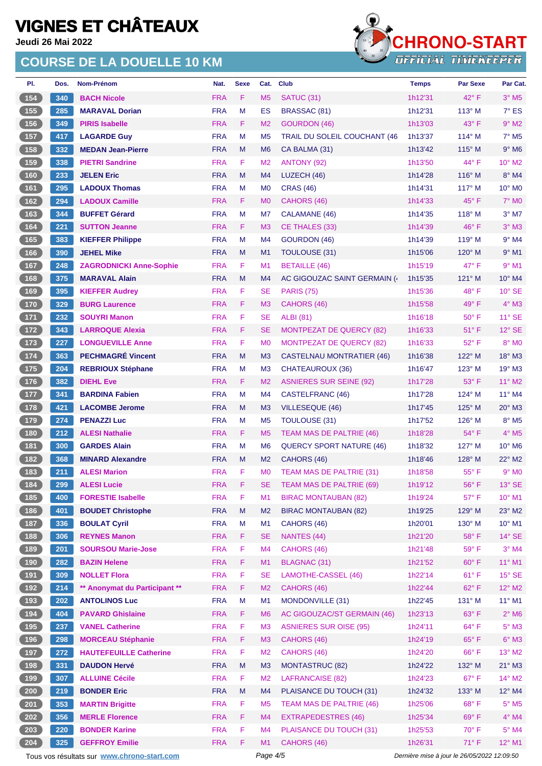**Jeudi 26 Mai 2022**

### **COURSE DE LA DOUELLE 10 KM**



| PI.                                        | Dos. | Nom-Prénom                     | Nat.       | <b>Sexe</b> | Cat.           | <b>Club</b>                     | <b>Temps</b> | <b>Par Sexe</b> | Par Cat.                 |
|--------------------------------------------|------|--------------------------------|------------|-------------|----------------|---------------------------------|--------------|-----------------|--------------------------|
| 154                                        | 340  | <b>BACH Nicole</b>             | <b>FRA</b> | F           | M <sub>5</sub> | SATUC (31)                      | 1h12'31      | 42° F           | $3°$ M <sub>5</sub>      |
| (155)                                      | 285  | <b>MARAVAL Dorian</b>          | <b>FRA</b> | M           | ES             | <b>BRASSAC (81)</b>             | 1h12'31      | $113^\circ$ M   | $7^\circ$ ES             |
| (156)                                      | 349  | <b>PIRIS Isabelle</b>          | <b>FRA</b> | F           | M <sub>2</sub> | <b>GOURDON (46)</b>             | 1h13'03      | 43° F           | $9°$ M2                  |
| 157                                        | 417  | <b>LAGARDE Guy</b>             | <b>FRA</b> | M           | M <sub>5</sub> | TRAIL DU SOLEIL COUCHANT (46    | 1h13'37      | $114^\circ$ M   | $7°$ M <sub>5</sub>      |
| 158                                        | 332  | <b>MEDAN Jean-Pierre</b>       | <b>FRA</b> | M           | M <sub>6</sub> | CA BALMA (31)                   | 1h13'42      | 115° M          | $9°$ M <sub>6</sub>      |
| (159)                                      | 338  | <b>PIETRI Sandrine</b>         | <b>FRA</b> | F.          | M <sub>2</sub> | ANTONY (92)                     | 1h13'50      | 44° F           | $10^{\circ}$ M2          |
| (160)                                      | 233  | <b>JELEN Eric</b>              | <b>FRA</b> | M           | M <sub>4</sub> | LUZECH (46)                     | 1h14'28      | $116^\circ$ M   | $8^\circ$ M4             |
| 161                                        | 295  | <b>LADOUX Thomas</b>           | <b>FRA</b> | M           | M <sub>0</sub> | <b>CRAS (46)</b>                | 1h14'31      | $117^\circ$ M   | $10^{\circ}$ MO          |
| 162                                        | 294  | <b>LADOUX Camille</b>          | <b>FRA</b> | F.          | M <sub>0</sub> | CAHORS (46)                     | 1h14'33      | $45^{\circ}$ F  | $7^\circ$ MO             |
| (163)                                      | 344  | <b>BUFFET Gérard</b>           | <b>FRA</b> | M           | M7             | CALAMANE (46)                   | 1h14'35      | 118° M          | $3°$ M7                  |
| 164                                        | 221  | <b>SUTTON Jeanne</b>           | <b>FRA</b> | F.          | M <sub>3</sub> | CE THALES (33)                  | 1h14'39      | $46^{\circ}$ F  | $3°$ M <sub>3</sub>      |
| (165)                                      | 383  | <b>KIEFFER Philippe</b>        | <b>FRA</b> | M           | M <sub>4</sub> | GOURDON (46)                    | 1h14'39      | 119° M          | $9°$ M4                  |
| (166)                                      | 390  | <b>JEHEL Mike</b>              | <b>FRA</b> | M           | M1             | <b>TOULOUSE (31)</b>            | 1h15'06      | $120^\circ$ M   | $9°$ M1                  |
| (167)                                      | 248  | <b>ZAGRODNICKI Anne-Sophie</b> | <b>FRA</b> | F           | M1             | <b>BETAILLE (46)</b>            | 1h15'19      | 47° F           | $9°$ M1                  |
| $\boxed{168}$                              | 375  | <b>MARAVAL Alain</b>           | <b>FRA</b> | M           | M <sub>4</sub> | AC GIGOUZAC SAINT GERMAIN (     | 1h15'35      | $121^\circ$ M   | 10° M4                   |
| $169$                                      | 395  | <b>KIEFFER Audrey</b>          | <b>FRA</b> | F           | <b>SE</b>      | <b>PARIS (75)</b>               | 1h15'36      | 48°F            | $10^{\circ}$ SE          |
| (170)                                      | 329  | <b>BURG Laurence</b>           | <b>FRA</b> | F           | M <sub>3</sub> | CAHORS (46)                     | 1h15'58      | $49^{\circ}$ F  | $4^\circ$ M3             |
| 171                                        | 232  | <b>SOUYRI Manon</b>            | <b>FRA</b> | F           | <b>SE</b>      | <b>ALBI</b> (81)                | 1h16'18      | $50^{\circ}$ F  | $11^\circ$ SE            |
| (172)                                      | 343  | <b>LARROQUE Alexia</b>         | <b>FRA</b> | F           | <b>SE</b>      | <b>MONTPEZAT DE QUERCY (82)</b> | 1h16'33      | $51^{\circ}$ F  | $12^\circ$ SE            |
| 173                                        | 227  | <b>LONGUEVILLE Anne</b>        | <b>FRA</b> | F           | M <sub>0</sub> | <b>MONTPEZAT DE QUERCY (82)</b> | 1h16'33      | $52^{\circ}$ F  | $8^\circ$ MO             |
| (174)                                      | 363  | <b>PECHMAGRÉ Vincent</b>       | <b>FRA</b> | M           | M <sub>3</sub> | CASTELNAU MONTRATIER (46)       | 1h16'38      | 122° M          | 18° M3                   |
| $175$                                      | 204  | <b>REBRIOUX Stéphane</b>       | <b>FRA</b> | M           | M <sub>3</sub> | CHATEAUROUX (36)                | 1h16'47      | $123^\circ$ M   | $19^\circ$ M3            |
| (176)                                      | 382  | <b>DIEHL Eve</b>               | <b>FRA</b> | F           | M <sub>2</sub> | <b>ASNIERES SUR SEINE (92)</b>  | 1h17'28      | 53° F           | 11° M2                   |
| $\overline{177}$                           | 341  | <b>BARDINA Fabien</b>          | <b>FRA</b> | м           | M4             | CASTELFRANC (46)                | 1h17'28      | $124^\circ$ M   | $11^{\circ}$ M4          |
| (178)                                      | 421  | <b>LACOMBE Jerome</b>          | <b>FRA</b> | M           | M <sub>3</sub> | <b>VILLESEQUE (46)</b>          | 1h17'45      | 125° M          | $20^\circ$ M3            |
| 179                                        | 274  | <b>PENAZZI Luc</b>             | <b>FRA</b> | M           | M <sub>5</sub> | <b>TOULOUSE (31)</b>            | 1h17'52      | $126^\circ$ M   | 8° M5                    |
| (180)                                      | 212  | <b>ALESI Nathalie</b>          | <b>FRA</b> | F.          | M <sub>5</sub> | TEAM MAS DE PALTRIE (46)        | 1h18'28      | $54^{\circ}$ F  | $4^\circ$ M <sub>5</sub> |
| (181)                                      | 300  | <b>GARDES Alain</b>            | <b>FRA</b> | м           | M <sub>6</sub> | <b>QUERCY SPORT NATURE (46)</b> | 1h18'32      | $127^\circ$ M   | 10° M6                   |
| (182)                                      | 368  | <b>MINARD Alexandre</b>        | <b>FRA</b> | M           | M <sub>2</sub> | CAHORS (46)                     | 1h18'46      | $128^\circ$ M   | $22^{\circ}$ M2          |
| 183                                        | 211  | <b>ALESI Marion</b>            | <b>FRA</b> | F           | M <sub>0</sub> | TEAM MAS DE PALTRIE (31)        | 1h18'58      | $55^{\circ}$ F  | $9^\circ$ M <sub>0</sub> |
| (184)                                      | 299  | <b>ALESI Lucie</b>             | <b>FRA</b> | F           | <b>SE</b>      | TEAM MAS DE PALTRIE (69)        | 1h19'12      | 56°F            | $13^\circ$ SE            |
| (185)                                      | 400  | <b>FORESTIE Isabelle</b>       | <b>FRA</b> | F           | M1             | <b>BIRAC MONTAUBAN (82)</b>     | 1h19'24      | 57°F            | 10° M1                   |
| 186                                        | 401  | <b>BOUDET Christophe</b>       | <b>FRA</b> | M           | M <sub>2</sub> | <b>BIRAC MONTAUBAN (82)</b>     | 1h19'25      | 129° M          | $23^\circ$ M2            |
| $187$                                      | 336  | <b>BOULAT Cyril</b>            | <b>FRA</b> | M           | M1             | CAHORS (46)                     | 1h20'01      | 130° M          | 10° M1                   |
| (188)                                      | 306  | <b>REYNES Manon</b>            | <b>FRA</b> | F.          | <b>SE</b>      | NANTES (44)                     | 1h21'20      | 58°F            | $14^\circ$ SE            |
| (189)                                      | 201  | <b>SOURSOU Marie-Jose</b>      | <b>FRA</b> | F           | M <sub>4</sub> | CAHORS (46)                     | 1h21'48      | 59°F            | $3°$ M4                  |
| (190)                                      | 282  | <b>BAZIN Helene</b>            | <b>FRA</b> | F           | M1             | <b>BLAGNAC (31)</b>             | 1h21'52      | 60° F           | $11^{\circ}$ M1          |
| 191                                        | 309  | <b>NOLLET Flora</b>            | <b>FRA</b> | F           | <b>SE</b>      | LAMOTHE-CASSEL (46)             | 1h22'14      | 61°F            | $15^\circ$ SE            |
| (192)                                      | 214  | ** Anonymat du Participant **  | <b>FRA</b> | F           | M <sub>2</sub> | CAHORS (46)                     | 1h22'44      | 62°F            | 12° M2                   |
| $\begin{array}{c} \boxed{193} \end{array}$ | 202  | <b>ANTOLINOS Luc</b>           | <b>FRA</b> | M           | M1             | MONDONVILLE (31)                | 1h22'45      | 131° M          | 11° M1                   |
| (194)                                      | 404  | <b>PAVARD Ghislaine</b>        | <b>FRA</b> | F           | M <sub>6</sub> | AC GIGOUZAC/ST GERMAIN (46)     | 1h23'13      | 63° F           | $2^{\circ}$ M6           |
| (195)                                      | 237  | <b>VANEL Catherine</b>         | <b>FRA</b> | F           | M <sub>3</sub> | <b>ASNIERES SUR OISE (95)</b>   | 1h24'11      | $64^{\circ}$ F  | $5^\circ$ M3             |
| (196)                                      | 298  | <b>MORCEAU Stéphanie</b>       | <b>FRA</b> | F           | M <sub>3</sub> | CAHORS (46)                     | 1h24'19      | $65^{\circ}$ F  | $6^\circ$ M3             |
| $197$                                      | 272  | <b>HAUTEFEUILLE Catherine</b>  | <b>FRA</b> | F           | M <sub>2</sub> | CAHORS (46)                     | 1h24'20      | $66^{\circ}$ F  | 13° M2                   |
| 198                                        | 331  | <b>DAUDON Hervé</b>            | <b>FRA</b> | M           | M <sub>3</sub> | <b>MONTASTRUC (82)</b>          | 1h24'22      | 132° M          | $21^\circ$ M3            |
| (199)                                      | 307  | <b>ALLUINE Cécile</b>          | <b>FRA</b> | F           | M <sub>2</sub> | <b>LAFRANCAISE (82)</b>         | 1h24'23      | $67^\circ$ F    | 14° M2                   |
| $\frac{200}{ }$                            | 219  | <b>BONDER Eric</b>             | <b>FRA</b> | M           | M <sub>4</sub> | PLAISANCE DU TOUCH (31)         | 1h24'32      | 133° M          | 12° M4                   |
| 201                                        | 353  | <b>MARTIN Brigitte</b>         | <b>FRA</b> | F           | M <sub>5</sub> | TEAM MAS DE PALTRIE (46)        | 1h25'06      | 68°F            | $5^\circ$ M5             |
| 202                                        | 356  | <b>MERLE Florence</b>          | <b>FRA</b> | F           | M4             | <b>EXTRAPEDESTRES (46)</b>      | 1h25'34      | 69°F            | $4^\circ$ M4             |
| 203                                        | 220  | <b>BONDER Karine</b>           | <b>FRA</b> | F           | M <sub>4</sub> | PLAISANCE DU TOUCH (31)         | 1h25'53      | $70^{\circ}$ F  | $5^\circ$ M4             |
| 204                                        | 325  | <b>GEFFROY Emilie</b>          | <b>FRA</b> | F           | M1             | CAHORS (46)                     | 1h26'31      | $71^\circ$ F    | 12° M1                   |

Tous vos résultats sur **[www.chrono-start.com](https://www.chrono-start.com/)** Page 4/5 Page 4/5 Dernière mise à jour le 26/05/2022 12:09:50